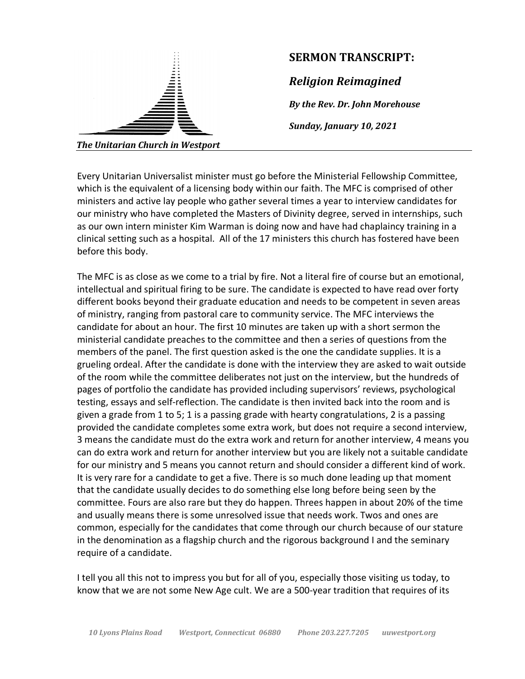

## **SERMON TRANSCRIPT:**

*Religion Reimagined*

*By the Rev. Dr. John Morehouse*

*Sunday, January 10, 2021*

Every Unitarian Universalist minister must go before the Ministerial Fellowship Committee, which is the equivalent of a licensing body within our faith. The MFC is comprised of other ministers and active lay people who gather several times a year to interview candidates for our ministry who have completed the Masters of Divinity degree, served in internships, such as our own intern minister Kim Warman is doing now and have had chaplaincy training in a clinical setting such as a hospital. All of the 17 ministers this church has fostered have been before this body.

The MFC is as close as we come to a trial by fire. Not a literal fire of course but an emotional, intellectual and spiritual firing to be sure. The candidate is expected to have read over forty different books beyond their graduate education and needs to be competent in seven areas of ministry, ranging from pastoral care to community service. The MFC interviews the candidate for about an hour. The first 10 minutes are taken up with a short sermon the ministerial candidate preaches to the committee and then a series of questions from the members of the panel. The first question asked is the one the candidate supplies. It is a grueling ordeal. After the candidate is done with the interview they are asked to wait outside of the room while the committee deliberates not just on the interview, but the hundreds of pages of portfolio the candidate has provided including supervisors' reviews, psychological testing, essays and self-reflection. The candidate is then invited back into the room and is given a grade from 1 to 5; 1 is a passing grade with hearty congratulations, 2 is a passing provided the candidate completes some extra work, but does not require a second interview, 3 means the candidate must do the extra work and return for another interview, 4 means you can do extra work and return for another interview but you are likely not a suitable candidate for our ministry and 5 means you cannot return and should consider a different kind of work. It is very rare for a candidate to get a five. There is so much done leading up that moment that the candidate usually decides to do something else long before being seen by the committee. Fours are also rare but they do happen. Threes happen in about 20% of the time and usually means there is some unresolved issue that needs work. Twos and ones are common, especially for the candidates that come through our church because of our stature in the denomination as a flagship church and the rigorous background I and the seminary require of a candidate.

I tell you all this not to impress you but for all of you, especially those visiting us today, to know that we are not some New Age cult. We are a 500-year tradition that requires of its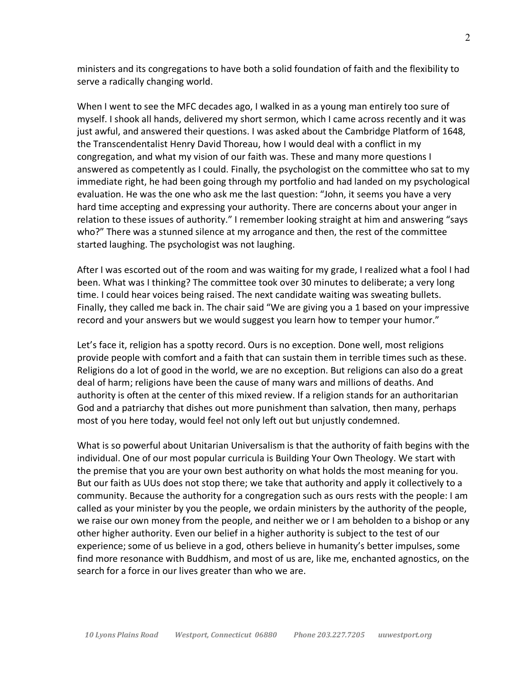ministers and its congregations to have both a solid foundation of faith and the flexibility to serve a radically changing world.

When I went to see the MFC decades ago, I walked in as a young man entirely too sure of myself. I shook all hands, delivered my short sermon, which I came across recently and it was just awful, and answered their questions. I was asked about the Cambridge Platform of 1648, the Transcendentalist Henry David Thoreau, how I would deal with a conflict in my congregation, and what my vision of our faith was. These and many more questions I answered as competently as I could. Finally, the psychologist on the committee who sat to my immediate right, he had been going through my portfolio and had landed on my psychological evaluation. He was the one who ask me the last question: "John, it seems you have a very hard time accepting and expressing your authority. There are concerns about your anger in relation to these issues of authority." I remember looking straight at him and answering "says who?" There was a stunned silence at my arrogance and then, the rest of the committee started laughing. The psychologist was not laughing.

After I was escorted out of the room and was waiting for my grade, I realized what a fool I had been. What was I thinking? The committee took over 30 minutes to deliberate; a very long time. I could hear voices being raised. The next candidate waiting was sweating bullets. Finally, they called me back in. The chair said "We are giving you a 1 based on your impressive record and your answers but we would suggest you learn how to temper your humor."

Let's face it, religion has a spotty record. Ours is no exception. Done well, most religions provide people with comfort and a faith that can sustain them in terrible times such as these. Religions do a lot of good in the world, we are no exception. But religions can also do a great deal of harm; religions have been the cause of many wars and millions of deaths. And authority is often at the center of this mixed review. If a religion stands for an authoritarian God and a patriarchy that dishes out more punishment than salvation, then many, perhaps most of you here today, would feel not only left out but unjustly condemned.

What is so powerful about Unitarian Universalism is that the authority of faith begins with the individual. One of our most popular curricula is Building Your Own Theology. We start with the premise that you are your own best authority on what holds the most meaning for you. But our faith as UUs does not stop there; we take that authority and apply it collectively to a community. Because the authority for a congregation such as ours rests with the people: I am called as your minister by you the people, we ordain ministers by the authority of the people, we raise our own money from the people, and neither we or I am beholden to a bishop or any other higher authority. Even our belief in a higher authority is subject to the test of our experience; some of us believe in a god, others believe in humanity's better impulses, some find more resonance with Buddhism, and most of us are, like me, enchanted agnostics, on the search for a force in our lives greater than who we are.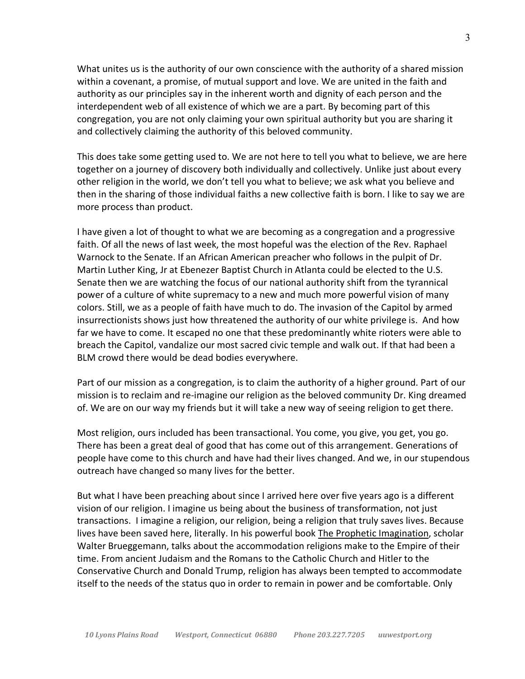What unites us is the authority of our own conscience with the authority of a shared mission within a covenant, a promise, of mutual support and love. We are united in the faith and authority as our principles say in the inherent worth and dignity of each person and the interdependent web of all existence of which we are a part. By becoming part of this congregation, you are not only claiming your own spiritual authority but you are sharing it and collectively claiming the authority of this beloved community.

This does take some getting used to. We are not here to tell you what to believe, we are here together on a journey of discovery both individually and collectively. Unlike just about every other religion in the world, we don't tell you what to believe; we ask what you believe and then in the sharing of those individual faiths a new collective faith is born. I like to say we are more process than product.

I have given a lot of thought to what we are becoming as a congregation and a progressive faith. Of all the news of last week, the most hopeful was the election of the Rev. Raphael Warnock to the Senate. If an African American preacher who follows in the pulpit of Dr. Martin Luther King, Jr at Ebenezer Baptist Church in Atlanta could be elected to the U.S. Senate then we are watching the focus of our national authority shift from the tyrannical power of a culture of white supremacy to a new and much more powerful vision of many colors. Still, we as a people of faith have much to do. The invasion of the Capitol by armed insurrectionists shows just how threatened the authority of our white privilege is. And how far we have to come. It escaped no one that these predominantly white rioters were able to breach the Capitol, vandalize our most sacred civic temple and walk out. If that had been a BLM crowd there would be dead bodies everywhere.

Part of our mission as a congregation, is to claim the authority of a higher ground. Part of our mission is to reclaim and re-imagine our religion as the beloved community Dr. King dreamed of. We are on our way my friends but it will take a new way of seeing religion to get there.

Most religion, ours included has been transactional. You come, you give, you get, you go. There has been a great deal of good that has come out of this arrangement. Generations of people have come to this church and have had their lives changed. And we, in our stupendous outreach have changed so many lives for the better.

But what I have been preaching about since I arrived here over five years ago is a different vision of our religion. I imagine us being about the business of transformation, not just transactions. I imagine a religion, our religion, being a religion that truly saves lives. Because lives have been saved here, literally. In his powerful book The Prophetic Imagination, scholar Walter Brueggemann, talks about the accommodation religions make to the Empire of their time. From ancient Judaism and the Romans to the Catholic Church and Hitler to the Conservative Church and Donald Trump, religion has always been tempted to accommodate itself to the needs of the status quo in order to remain in power and be comfortable. Only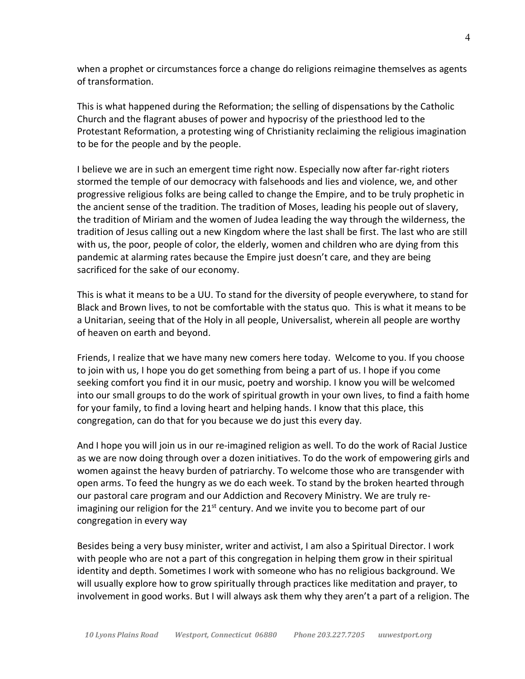when a prophet or circumstances force a change do religions reimagine themselves as agents of transformation.

This is what happened during the Reformation; the selling of dispensations by the Catholic Church and the flagrant abuses of power and hypocrisy of the priesthood led to the Protestant Reformation, a protesting wing of Christianity reclaiming the religious imagination to be for the people and by the people.

I believe we are in such an emergent time right now. Especially now after far-right rioters stormed the temple of our democracy with falsehoods and lies and violence, we, and other progressive religious folks are being called to change the Empire, and to be truly prophetic in the ancient sense of the tradition. The tradition of Moses, leading his people out of slavery, the tradition of Miriam and the women of Judea leading the way through the wilderness, the tradition of Jesus calling out a new Kingdom where the last shall be first. The last who are still with us, the poor, people of color, the elderly, women and children who are dying from this pandemic at alarming rates because the Empire just doesn't care, and they are being sacrificed for the sake of our economy.

This is what it means to be a UU. To stand for the diversity of people everywhere, to stand for Black and Brown lives, to not be comfortable with the status quo. This is what it means to be a Unitarian, seeing that of the Holy in all people, Universalist, wherein all people are worthy of heaven on earth and beyond.

Friends, I realize that we have many new comers here today. Welcome to you. If you choose to join with us, I hope you do get something from being a part of us. I hope if you come seeking comfort you find it in our music, poetry and worship. I know you will be welcomed into our small groups to do the work of spiritual growth in your own lives, to find a faith home for your family, to find a loving heart and helping hands. I know that this place, this congregation, can do that for you because we do just this every day.

And I hope you will join us in our re-imagined religion as well. To do the work of Racial Justice as we are now doing through over a dozen initiatives. To do the work of empowering girls and women against the heavy burden of patriarchy. To welcome those who are transgender with open arms. To feed the hungry as we do each week. To stand by the broken hearted through our pastoral care program and our Addiction and Recovery Ministry. We are truly reimagining our religion for the  $21<sup>st</sup>$  century. And we invite you to become part of our congregation in every way

Besides being a very busy minister, writer and activist, I am also a Spiritual Director. I work with people who are not a part of this congregation in helping them grow in their spiritual identity and depth. Sometimes I work with someone who has no religious background. We will usually explore how to grow spiritually through practices like meditation and prayer, to involvement in good works. But I will always ask them why they aren't a part of a religion. The